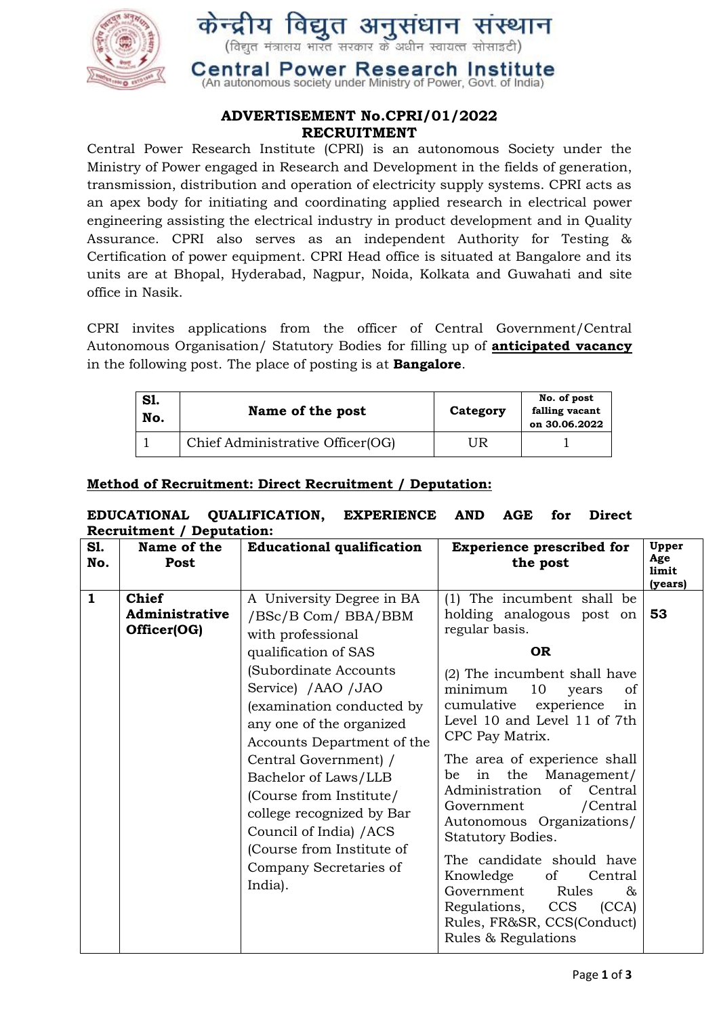

# **ADVERTISEMENT No.CPRI/01/2022 RECRUITMENT**

Central Power Research Institute (CPRI) is an autonomous Society under the Ministry of Power engaged in Research and Development in the fields of generation, transmission, distribution and operation of electricity supply systems. CPRI acts as an apex body for initiating and coordinating applied research in electrical power engineering assisting the electrical industry in product development and in Quality Assurance. CPRI also serves as an independent Authority for Testing & Certification of power equipment. CPRI Head office is situated at Bangalore and its units are at Bhopal, Hyderabad, Nagpur, Noida, Kolkata and Guwahati and site office in Nasik.

CPRI invites applications from the officer of Central Government/Central Autonomous Organisation/ Statutory Bodies for filling up of **anticipated vacancy** in the following post. The place of posting is at **Bangalore**.

| S1.<br>No. | Name of the post                 | Category | No. of post<br>falling vacant<br>on 30.06.2022 |
|------------|----------------------------------|----------|------------------------------------------------|
|            | Chief Administrative Officer(OG) | UR       |                                                |

# **Method of Recruitment: Direct Recruitment / Deputation:**

### **EDUCATIONAL QUALIFICATION, EXPERIENCE AND AGE for Direct Recruitment / Deputation:**

| S1.<br>No.   | Name of the<br>Post                           | <b>Educational qualification</b>                                                                                                                                                                                                                                                                                                                                                                                                            | <b>Experience prescribed for</b><br>the post                                                                                                                                                                                                                                                                                                                                                                                                                                                                                                                                                    | Upper<br>Age<br>limit<br>(years) |
|--------------|-----------------------------------------------|---------------------------------------------------------------------------------------------------------------------------------------------------------------------------------------------------------------------------------------------------------------------------------------------------------------------------------------------------------------------------------------------------------------------------------------------|-------------------------------------------------------------------------------------------------------------------------------------------------------------------------------------------------------------------------------------------------------------------------------------------------------------------------------------------------------------------------------------------------------------------------------------------------------------------------------------------------------------------------------------------------------------------------------------------------|----------------------------------|
| $\mathbf{1}$ | <b>Chief</b><br>Administrative<br>Officer(OG) | A University Degree in BA<br>/BSc/B Com/ BBA/BBM<br>with professional<br>qualification of SAS<br>(Subordinate Accounts<br>Service) / AAO / JAO<br>(examination conducted by<br>any one of the organized<br>Accounts Department of the<br>Central Government) /<br>Bachelor of Laws/LLB<br>(Course from Institute/<br>college recognized by Bar<br>Council of India) / ACS<br>(Course from Institute of<br>Company Secretaries of<br>India). | (1) The incumbent shall be<br>holding analogous post on<br>regular basis.<br><b>OR</b><br>(2) The incumbent shall have<br>10<br>minimum<br>of<br>years<br>experience<br>cumulative<br>in<br>Level 10 and Level 11 of 7th<br>CPC Pay Matrix.<br>The area of experience shall<br>in the Management/<br>be<br>of Central<br>Administration<br>/Central<br>Government<br>Autonomous Organizations/<br>Statutory Bodies.<br>The candidate should have<br>Knowledge<br>of<br>Central<br>Government<br>Rules<br>&<br>Regulations,<br>CCS<br>(CCA)<br>Rules, FR&SR, CCS(Conduct)<br>Rules & Regulations | 53                               |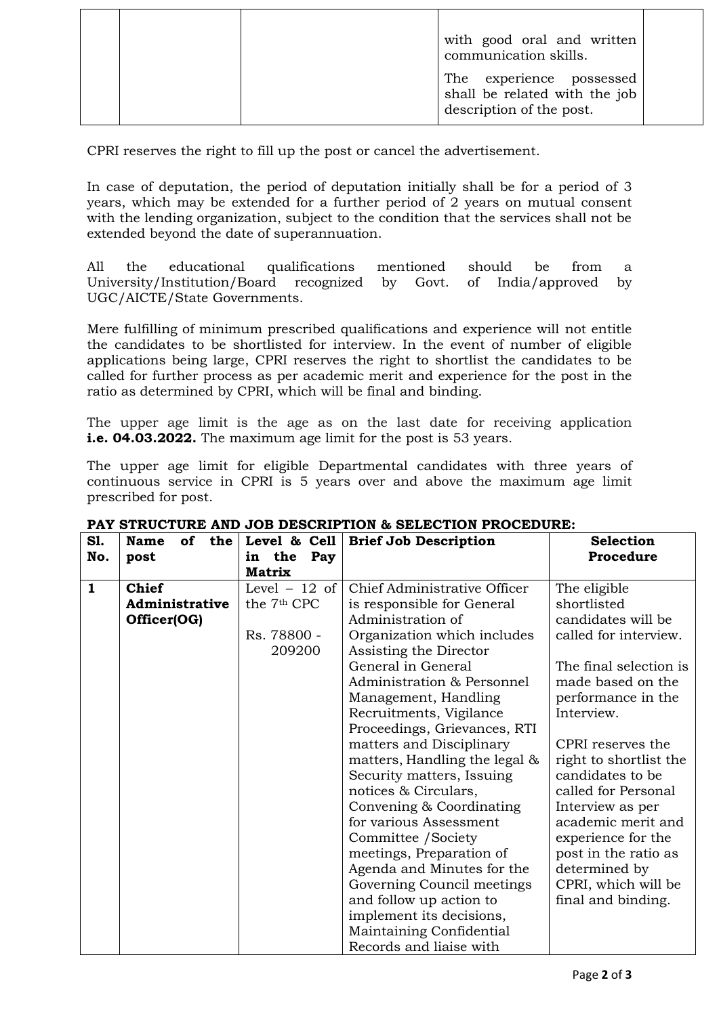|  | with good oral and written<br>communication skills.                                   |  |
|--|---------------------------------------------------------------------------------------|--|
|  | The experience possessed<br>shall be related with the job<br>description of the post. |  |

CPRI reserves the right to fill up the post or cancel the advertisement.

In case of deputation, the period of deputation initially shall be for a period of 3 years, which may be extended for a further period of 2 years on mutual consent with the lending organization, subject to the condition that the services shall not be extended beyond the date of superannuation.

All the educational qualifications mentioned should be from a University/Institution/Board recognized by Govt. of India/approved by UGC/AICTE/State Governments.

Mere fulfilling of minimum prescribed qualifications and experience will not entitle the candidates to be shortlisted for interview. In the event of number of eligible applications being large, CPRI reserves the right to shortlist the candidates to be called for further process as per academic merit and experience for the post in the ratio as determined by CPRI, which will be final and binding.

The upper age limit is the age as on the last date for receiving application **i.e. 04.03.2022.** The maximum age limit for the post is 53 years.

The upper age limit for eligible Departmental candidates with three years of continuous service in CPRI is 5 years over and above the maximum age limit prescribed for post.

| S1.          | <b>Name</b><br>of<br>the | Level & Cell            | <b>Brief Job Description</b>  | <b>Selection</b>       |
|--------------|--------------------------|-------------------------|-------------------------------|------------------------|
| No.          | post                     | in the Pay              |                               | Procedure              |
|              |                          | <b>Matrix</b>           |                               |                        |
| $\mathbf{1}$ | <b>Chief</b>             | Level $-12$ of          | Chief Administrative Officer  | The eligible           |
|              | Administrative           | the 7 <sup>th</sup> CPC | is responsible for General    | shortlisted            |
|              | Officer(OG)              |                         | Administration of             | candidates will be     |
|              |                          | Rs. 78800 -             | Organization which includes   | called for interview.  |
|              |                          | 209200                  | Assisting the Director        |                        |
|              |                          |                         | General in General            | The final selection is |
|              |                          |                         | Administration & Personnel    | made based on the      |
|              |                          |                         | Management, Handling          | performance in the     |
|              |                          |                         | Recruitments, Vigilance       | Interview.             |
|              |                          |                         | Proceedings, Grievances, RTI  |                        |
|              |                          |                         | matters and Disciplinary      | CPRI reserves the      |
|              |                          |                         | matters, Handling the legal & | right to shortlist the |
|              |                          |                         | Security matters, Issuing     | candidates to be       |
|              |                          |                         | notices & Circulars,          | called for Personal    |
|              |                          |                         | Convening & Coordinating      | Interview as per       |
|              |                          |                         | for various Assessment        | academic merit and     |
|              |                          |                         | Committee / Society           | experience for the     |
|              |                          |                         | meetings, Preparation of      | post in the ratio as   |
|              |                          |                         | Agenda and Minutes for the    | determined by          |
|              |                          |                         | Governing Council meetings    | CPRI, which will be    |
|              |                          |                         | and follow up action to       | final and binding.     |
|              |                          |                         | implement its decisions,      |                        |
|              |                          |                         | Maintaining Confidential      |                        |
|              |                          |                         | Records and liaise with       |                        |

### **PAY STRUCTURE AND JOB DESCRIPTION & SELECTION PROCEDURE:**